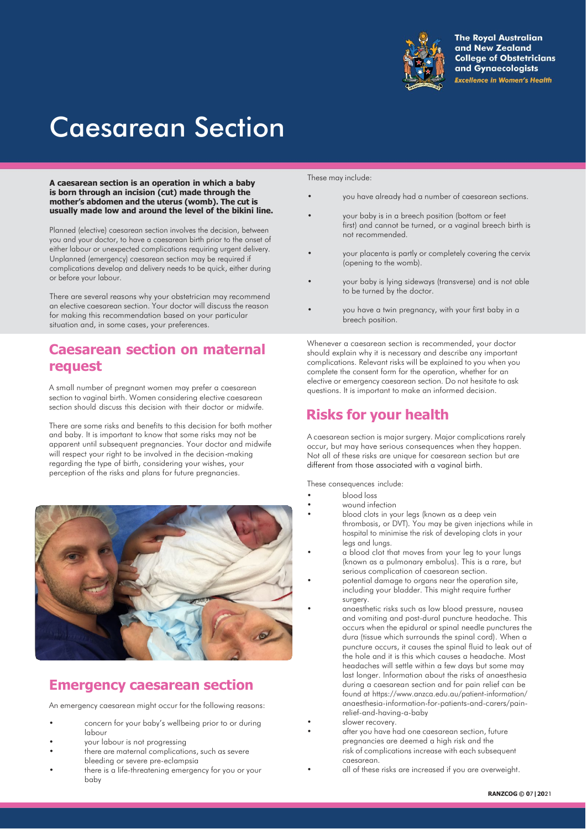

**The Royal Australian** and New Zealand **College of Obstetricians** and Gynaecologists **Excellence in Women's Health** 

# Caesarean Section

**A caesarean section is an operation in which a baby is born through an incision (cut) made through the mother's abdomen and the uterus (womb). The cut is usually made low and around the level of the bikini line.**

Planned (elective) caesarean section involves the decision, between you and your doctor, to have a caesarean birth prior to the onset of either labour or unexpected complications requiring urgent delivery. Unplanned (emergency) caesarean section may be required if complications develop and delivery needs to be quick, either during or before your labour.

There are several reasons why your obstetrician may recommend an elective caesarean section. Your doctor will discuss the reason for making this recommendation based on your particular situation and, in some cases, your preferences.

### **Caesarean section on maternal request**

A small number of pregnant women may prefer a caesarean section to vaginal birth. Women considering elective caesarean section should discuss this decision with their doctor or midwife.

There are some risks and benefits to this decision for both mother and baby. It is important to know that some risks may not be apparent until subsequent pregnancies. Your doctor and midwife will respect your right to be involved in the decision-making regarding the type of birth, considering your wishes, your perception of the risks and plans for future pregnancies.



### **Emergency caesarean section**

An emergency caesarean might occur for the following reasons:

- concern for your baby's wellbeing prior to or during labour
- your labour is not progressing
- there are maternal complications, such as severe bleeding or severe pre-eclampsia
- there is a life-threatening emergency for you or your baby

These may include:

- you have already had a number of caesarean sections.
- your baby is in a breech position (bottom or feet first) and cannot be turned, or a vaginal breech birth is not recommended.
- your placenta is partly or completely covering the cervix (opening to the womb).
- your baby is lying sideways (transverse) and is not able to be turned by the doctor.
- you have a twin pregnancy, with your first baby in a breech position.

Whenever a caesarean section is recommended, your doctor should explain why it is necessary and describe any important complications. Relevant risks will be explained to you when you complete the consent form for the operation, whether for an elective or emergency caesarean section. Do not hesitate to ask questions. It is important to make an informed decision.

# **Risks for your health**

A caesarean section is major surgery. Major complications rarely occur, but may have serious consequences when they happen. Not all of these risks are unique for caesarean section but are different from those associated with a vaginal birth.

These consequences include:

- blood loss
- wound infection
- blood clots in your legs (known as a deep vein thrombosis, or DVT)*.* You may be given injections while in hospital to minimise the risk of developing clots in your legs and lungs.
- a blood clot that moves from your leg to your lungs (known as a pulmonary embolus). This is a rare, but serious complication of caesarean section.
- potential damage to organs near the operation site, including your bladder. This might require further surgery.
- anaesthetic risks such as low blood pressure, nausea and vomiting and post-dural puncture headache. This occurs when the epidural or spinal needle punctures the dura (tissue which surrounds the spinal cord). When a puncture occurs, it causes the spinal fluid to leak out of the hole and it is this which causes a headache. Most headaches will settle within a few days but some may last longer. Information about the risks of anaesthesia during a caesarean section and for pain relief can be found at [https://www.anzca.edu.au/patient-information/](http://www.anzca.edu.au/patient-information/) anaesthesia-information-for-patients-and-carers/painrelief-and-having-a-baby
- slower recovery.
	- after you have had one caesarean section, future pregnancies are deemed a high risk and the risk of complications increase with each subsequent caesarean.
	- all of these risks are increased if you are overweight.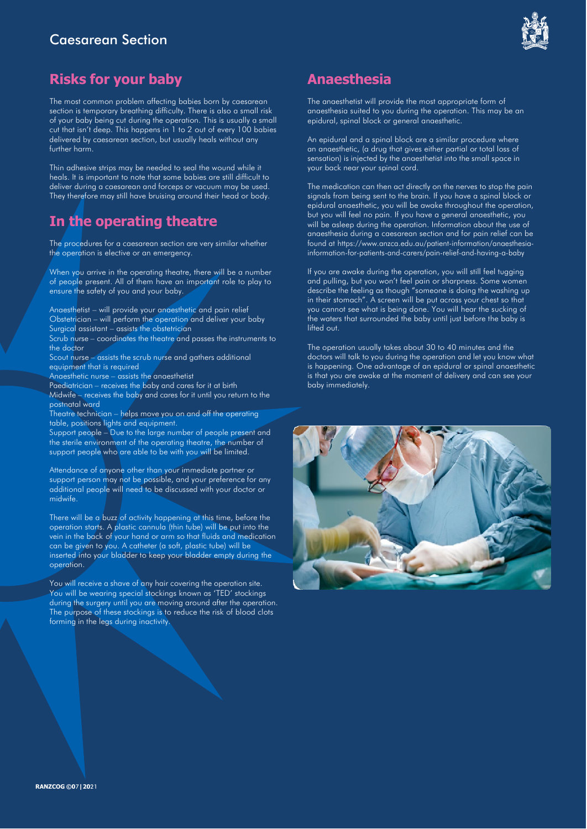### Caesarean Section



## **Risks for your baby**

The most common problem affecting babies born by caesarean section is temporary breathing difficulty. There is also a small risk of your baby being cut during the operation. This is usually a small cut that isn't deep. This happens in 1 to 2 out of every 100 babies delivered by caesarean section, but usually heals without any further harm.

Thin adhesive strips may be needed to seal the wound while it heals. It is important to note that some babies are still difficult to deliver during a caesarean and forceps or vacuum may be used. They therefore may still have bruising around their head or body.

# **In the operating theatre**

The procedures for a caesarean section are very similar whether the operation is elective or an emergency.

When you arrive in the operating theatre, there will be a number of people present. All of them have an important role to play to ensure the safety of you and your baby.

Anaesthetist – will provide your anaesthetic and pain relief Obstetrician – will perform the operation and deliver your baby Surgical assistant – assists the obstetrician

Scrub nurse – coordinates the theatre and passes the instruments to the doctor

Scout nurse – assists the scrub nurse and gathers additional equipment that is required

Anaesthetic nurse – assists the anaesthetist

Paediatrician – receives the baby and cares for it at birth

Midwife – receives the baby and cares for it until you return to the postnatal ward

Theatre technician – helps move you on and off the operating table, positions lights and equipment.

Support people – Due to the large number of people present and the sterile environment of the operating theatre, the number of support people who are able to be with you will be limited.

Attendance of anyone other than your immediate partner or support person may not be possible, and your preference for any additional people will need to be discussed with your doctor or midwife.

There will be a buzz of activity happening at this time, before the operation starts. A plastic cannula (thin tube) will be put into the vein in the back of your hand or arm so that fluids and medication can be given to you. A catheter (a soft, plastic tube) will be inserted into your bladder to keep your bladder empty during the operation.

You will receive a shave of any hair covering the operation site. You will be wearing special stockings known as 'TED' stockings during the surgery until you are moving around after the operation. The purpose of these stockings is to reduce the risk of blood clots forming in the legs during inactivity.

### **Anaesthesia**

The anaesthetist will provide the most appropriate form of anaesthesia suited to you during the operation. This may be an epidural, spinal block or general anaesthetic.

An epidural and a spinal block are a similar procedure where an anaesthetic, (a drug that gives either partial or total loss of sensation) is injected by the anaesthetist into the small space in your back near your spinal cord.

The medication can then act directly on the nerves to stop the pain signals from being sent to the brain. If you have a spinal block or epidural anaesthetic, you will be awake throughout the operation, but you will feel no pain. If you have a general anaesthetic, you will be asleep during the operation. Information about the use of anaesthesia during a caesarean section and for pain relief can be found at [https://www.anzca.edu.au/patient-information/anaesthesia](http://www.anzca.edu.au/patient-information/anaesthesia-)information-for-patients-and-carers/pain-relief-and-having-a-baby

If you are awake during the operation, you will still feel tugging and pulling, but you won't feel pain or sharpness. Some women describe the feeling as though "someone is doing the washing up in their stomach". A screen will be put across your chest so that you cannot see what is being done. You will hear the sucking of the waters that surrounded the baby until just before the baby is lifted out.

The operation usually takes about 30 to 40 minutes and the doctors will talk to you during the operation and let you know what is happening. One advantage of an epidural or spinal anaesthetic is that you are awake at the moment of delivery and can see your baby immediately.

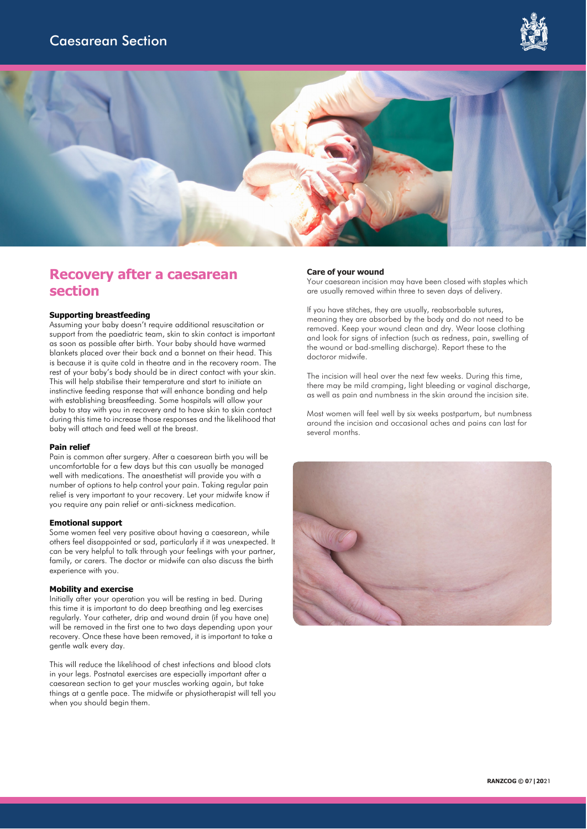



### **Recovery after a caesarean section**

#### **Supporting breastfeeding**

Assuming your baby doesn't require additional resuscitation or support from the paediatric team, skin to skin contact is important as soon as possible after birth. Your baby should have warmed blankets placed over their back and a bonnet on their head. This is because it is quite cold in theatre and in the recovery room. The rest of your baby's body should be in direct contact with your skin. This will help stabilise their temperature and start to initiate an instinctive feeding response that will enhance bonding and help with establishing breastfeeding. Some hospitals will allow your baby to stay with you in recovery and to have skin to skin contact during this time to increase those responses and the likelihood that baby will attach and feed well at the breast.

#### **Pain relief**

Pain is common after surgery. After a caesarean birth you will be uncomfortable for a few days but this can usually be managed well with medications. The anaesthetist will provide you with a number of options to help control your pain. Taking regular pain relief is very important to your recovery. Let your midwife know if you require any pain relief or anti-sickness medication.

#### **Emotional support**

Some women feel very positive about having a caesarean, while others feel disappointed or sad, particularly if it was unexpected. It can be very helpful to talk through your feelings with your partner, family, or carers. The doctor or midwife can also discuss the birth experience with you.

#### **Mobility and exercise**

Initially after your operation you will be resting in bed. During this time it is important to do deep breathing and leg exercises regularly. Your catheter, drip and wound drain (if you have one) will be removed in the first one to two days depending upon your recovery. Once these have been removed, it is important to take a gentle walk every day.

This will reduce the likelihood of chest infections and blood clots in your legs. Postnatal exercises are especially important after a caesarean section to get your muscles working again, but take things at a gentle pace. The midwife or physiotherapist will tell you when you should begin them.

#### **Care of your wound**

Your caesarean incision may have been closed with staples which are usually removed within three to seven days of delivery.

If you have stitches, they are usually, reabsorbable sutures, meaning they are absorbed by the body and do not need to be removed. Keep your wound clean and dry. Wear loose clothing and look for signs of infection (such as redness, pain, swelling of the wound or bad-smelling discharge). Report these to the doctoror midwife.

The incision will heal over the next few weeks. During this time, there may be mild cramping, light bleeding or vaginal discharge, as well as pain and numbness in the skin around the incision site.

Most women will feel well by six weeks postpartum, but numbness around the incision and occasional aches and pains can last for several months.